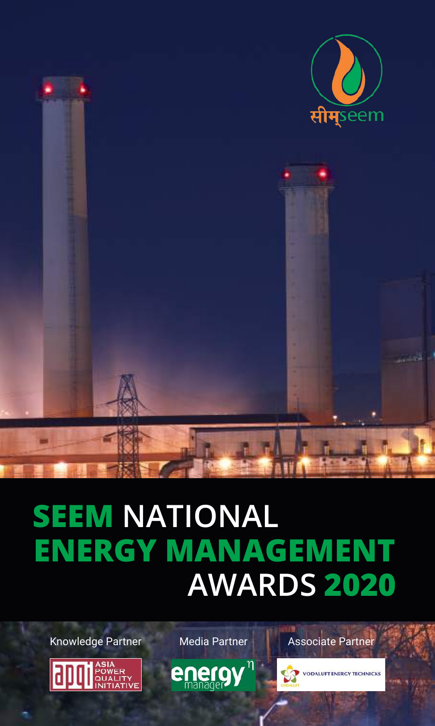

# **SEEM NATIONAL AWARDS 2020 ENERGY MANAGEMENT**

Knowledge Partner Media Partner | Associate Partner

ASIA<br>POWER<br>QUALIT





**VODALUFT ENERGY TECHNICKS**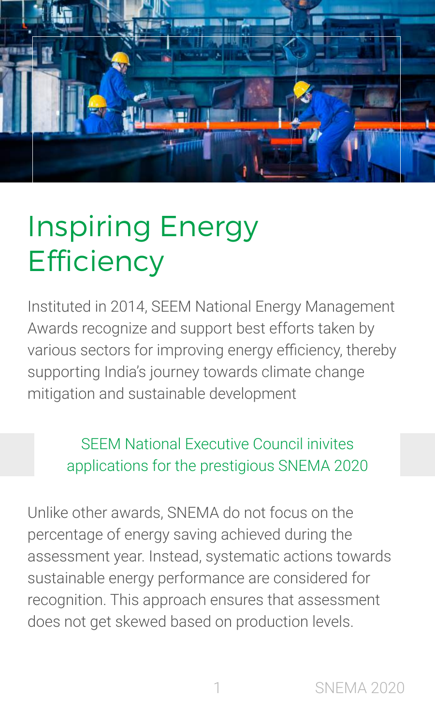

# Inspiring Energy **Efficiency**

Instituted in 2014, SEEM National Energy Management Awards recognize and support best efforts taken by various sectors for improving energy efficiency, thereby supporting India's journey towards climate change mitigation and sustainable development

> SEEM National Executive Council inivites applications for the prestigious SNEMA 2020

Unlike other awards, SNEMA do not focus on the percentage of energy saving achieved during the assessment year. Instead, systematic actions towards sustainable energy performance are considered for recognition. This approach ensures that assessment does not get skewed based on production levels.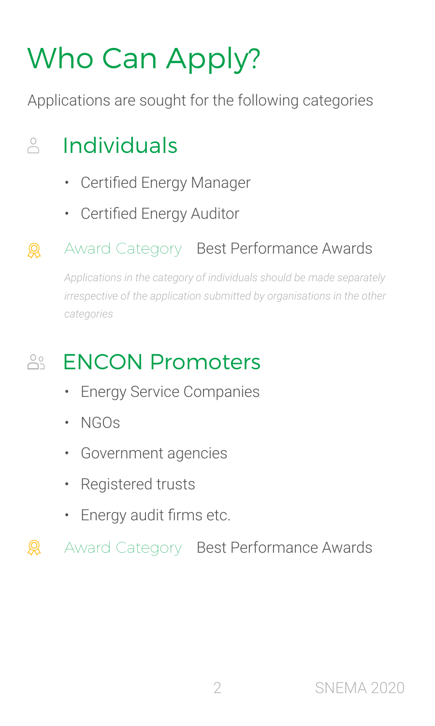# Who Can Apply?

Applications are sought for the following categories

#### $\bigcirc$ Individuals

- Certified Energy Manager
- Certified Energy Auditor

#### Award Category Best Performance Awards  $\mathbb{R}$

*Applications in the category of individuals should be made separately irrespective of the application submitted by organisations in the other categories*

#### $\overline{\bigcirc}$ ENCON Promoters

- Energy Service Companies
- NGOs
- Government agencies
- Registered trusts
- Energy audit firms etc.

 $\mathcal{Q}$ Award Category Best Performance Awards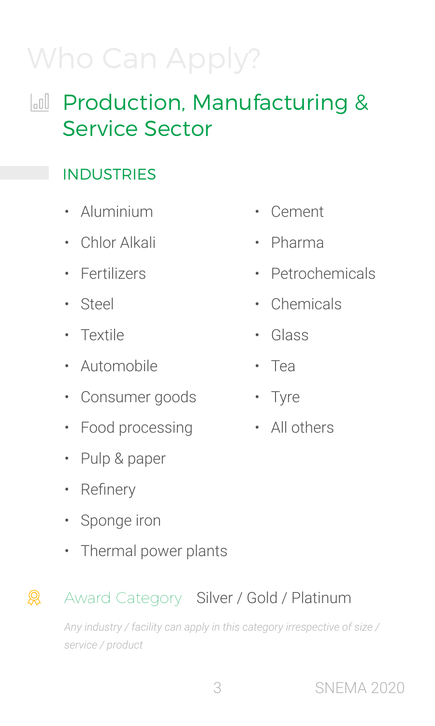# Who Can Apply?

## In Production, Manufacturing & Service Sector

### **INDUSTRIES**

- Aluminium
- Chlor Alkali
- Fertilizers
- Steel
- Textile
- Automobile
- Consumer goods
- Food processing
- Pulp & paper
- Refinery
- Sponge iron
- Thermal power plants

#### $\mathbb{R}$ Award Category Silver / Gold / Platinum

*Any industry / facility can apply in this category irrespective of size / service / product*

- Cement
- Pharma
- Petrochemicals
- Chemicals
- Glass
- Tea
- Tyre
- All others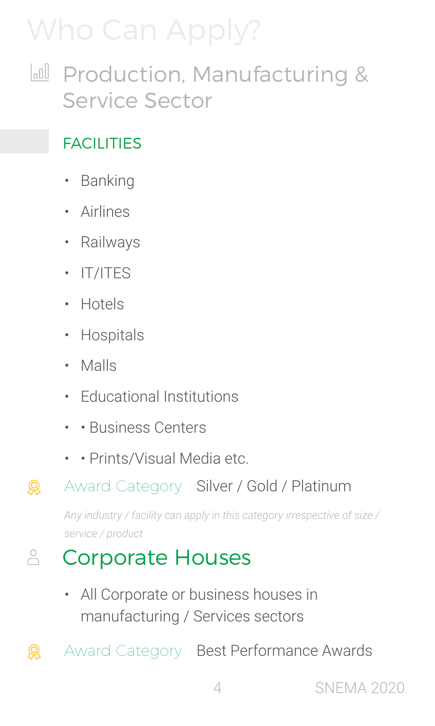# Who Can Apply?

**In Production, Manufacturing &** Service Sector

### **FACILITIES**

- Banking
- Airlines
- Railways
- IT/ITES
- Hotels
- Hospitals
- Malls

 $\mathcal{Q}$ 

- Educational Institutions
- • Business Centers
- • Prints/Visual Media etc.

#### $\mathcal{Q}$ Award Category Silver / Gold / Platinum

*Any industry / facility can apply in this category irrespective of size / service / product*

#### $\overset{\circ}{\bigcirc}$ Corporate Houses

• All Corporate or business houses in manufacturing / Services sectors

Award Category Best Performance Awards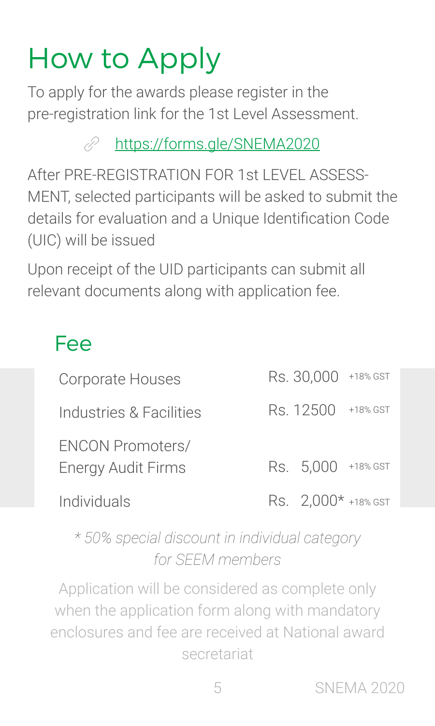# How to Apply

To apply for the awards please register in the pre-registration link for the 1st Level Assessment.

> [https://forms.gle/SNEMA2020](https://forms.gle/Khdqc39m4Jn9pDas9) P

After PRE-REGISTRATION FOR 1st LEVEL ASSESS-MENT, selected participants will be asked to submit the details for evaluation and a Unique Identification Code (UIC) will be issued

Upon receipt of the UID participants can submit all relevant documents along with application fee.

### Fee

| Corporate Houses                                     | Rs. 30,000 +18% GST   |          |
|------------------------------------------------------|-----------------------|----------|
| Industries & Facilities                              | Rs. 12500             | +18% GST |
| <b>ENCON Promoters/</b><br><b>Energy Audit Firms</b> | Rs. 5,000 +18% GST    |          |
| Individuals                                          | Rs. $2,000*$ +18% GST |          |

*\* 50% special discount in individual category for SEEM members*

Application will be considered as complete only when the application form along with mandatory enclosures and fee are received at National award secretariat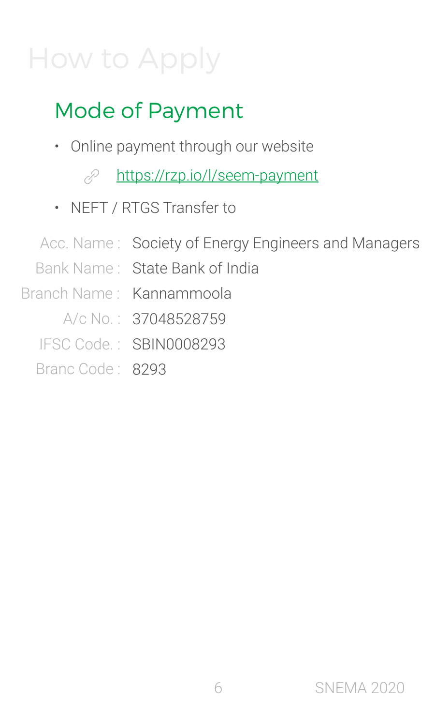## How to Apply

## Mode of Payment

- Online payment through our website
	- P [https://rzp.io/l/seem-payment](https://pages.razorpay.com/seem-payment)
- NEFT / RTGS Transfer to
- Acc. Name : Society of Energy Engineers and Managers Bank Name : State Bank of India Branch Name : Kannammoola A/c No.: 37048528759 IFSC Code. : SBIN0008293 Branc Code: 8293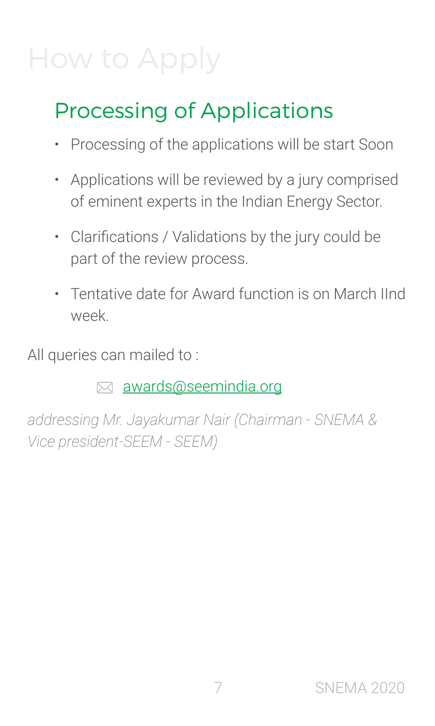## How to Apply

## Processing of Applications

- Processing of the applications will be start Soon
- Applications will be reviewed by a jury comprised of eminent experts in the Indian Energy Sector.
- Clarifications / Validations by the jury could be part of the review process.
- Tentative date for Award function is on March IInd week.

All queries can mailed to :

 $\boxtimes$  [awards@seemindia.org](mailto:awards%40seemindia.org?subject=Query%20about%20SNEMA%2018)

*addressing Mr. Jayakumar Nair (Chairman - SNEMA & Vice president-SEEM - SEEM)*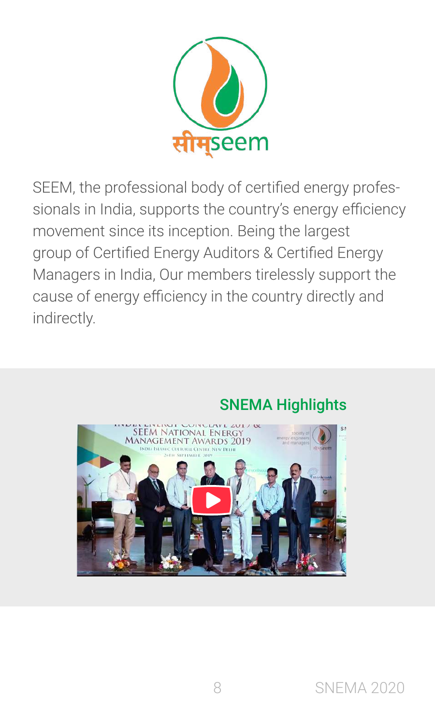

SEEM, the professional body of certified energy professionals in India, supports the country's energy efficiency movement since its inception. Being the largest group of Certified Energy Auditors & Certified Energy Managers in India, Our members tirelessly support the cause of energy efficiency in the country directly and indirectly.



### SNEMA Highlights

8 SNEMA 2020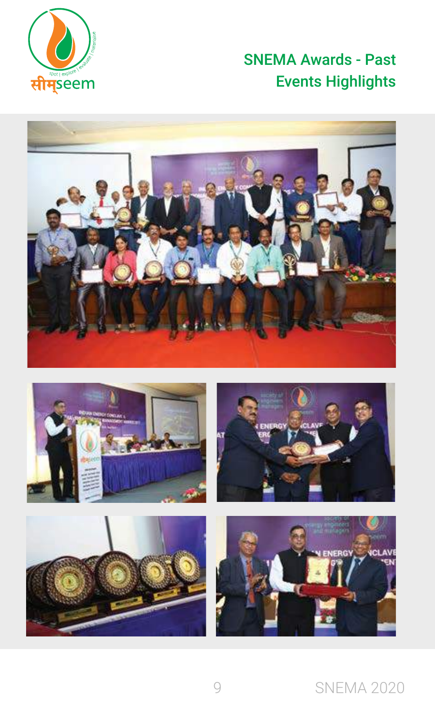

### SNEMA Awards - Past Events Highlights











### 9 SNEMA 2020